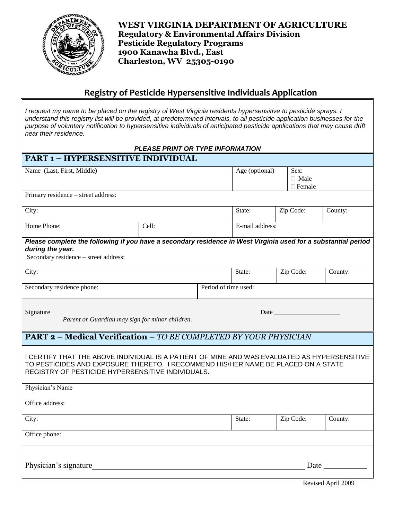

**WEST VIRGINIA DEPARTMENT OF AGRICULTURE Regulatory & Environmental Affairs Division Pesticide Regulatory Programs 1900 Kanawha Blvd., East Charleston, WV 25305-0190**

## **Registry of Pesticide Hypersensitive Individuals Application**

*I request my name to be placed on the registry of West Virginia residents hypersensitive to pesticide sprays. I understand this registry list will be provided, at predetermined intervals, to all pesticide application businesses for the purpose of voluntary notification to hypersensitive individuals of anticipated pesticide applications that may cause drift near their residence.* 

| PLEASE PRINT OR TYPE INFORMATION                                                                                                                                                                                                       |       |        |                |                      |           |                                      |         |  |
|----------------------------------------------------------------------------------------------------------------------------------------------------------------------------------------------------------------------------------------|-------|--------|----------------|----------------------|-----------|--------------------------------------|---------|--|
| PART 1 - HYPERSENSITIVE INDIVIDUAL                                                                                                                                                                                                     |       |        |                |                      |           |                                      |         |  |
| Name (Last, First, Middle)                                                                                                                                                                                                             |       |        | Age (optional) |                      |           | Sex:<br>$\Box$ Male<br>$\Box$ Female |         |  |
| Primary residence - street address:                                                                                                                                                                                                    |       |        |                |                      |           |                                      |         |  |
| City:                                                                                                                                                                                                                                  |       |        |                | State:               | Zip Code: |                                      | County: |  |
| Home Phone:                                                                                                                                                                                                                            | Cell: |        |                | E-mail address:      |           |                                      |         |  |
| Please complete the following if you have a secondary residence in West Virginia used for a substantial period<br>during the year.                                                                                                     |       |        |                |                      |           |                                      |         |  |
| Secondary residence - street address:                                                                                                                                                                                                  |       |        |                |                      |           |                                      |         |  |
| City:                                                                                                                                                                                                                                  |       |        |                | State:               |           | Zip Code:                            | County: |  |
| Secondary residence phone:                                                                                                                                                                                                             |       |        |                | Period of time used: |           |                                      |         |  |
| Signature<br>Parent or Guardian may sign for minor children.                                                                                                                                                                           |       |        |                | Date                 |           |                                      |         |  |
| <b>PART 2 - Medical Verification - TO BE COMPLETED BY YOUR PHYSICIAN</b>                                                                                                                                                               |       |        |                |                      |           |                                      |         |  |
| I CERTIFY THAT THE ABOVE INDIVIDUAL IS A PATIENT OF MINE AND WAS EVALUATED AS HYPERSENSITIVE<br>TO PESTICIDES AND EXPOSURE THERETO. I RECOMMEND HIS/HER NAME BE PLACED ON A STATE<br>REGISTRY OF PESTICIDE HYPERSENSITIVE INDIVIDUALS. |       |        |                |                      |           |                                      |         |  |
| Physician's Name                                                                                                                                                                                                                       |       |        |                |                      |           |                                      |         |  |
| Office address:                                                                                                                                                                                                                        |       |        |                |                      |           |                                      |         |  |
| City:                                                                                                                                                                                                                                  |       | State: |                | Zip Code:            | County:   |                                      |         |  |
| Office phone:                                                                                                                                                                                                                          |       |        |                |                      |           |                                      |         |  |
| Physician's signature                                                                                                                                                                                                                  |       |        |                |                      |           | Date                                 |         |  |